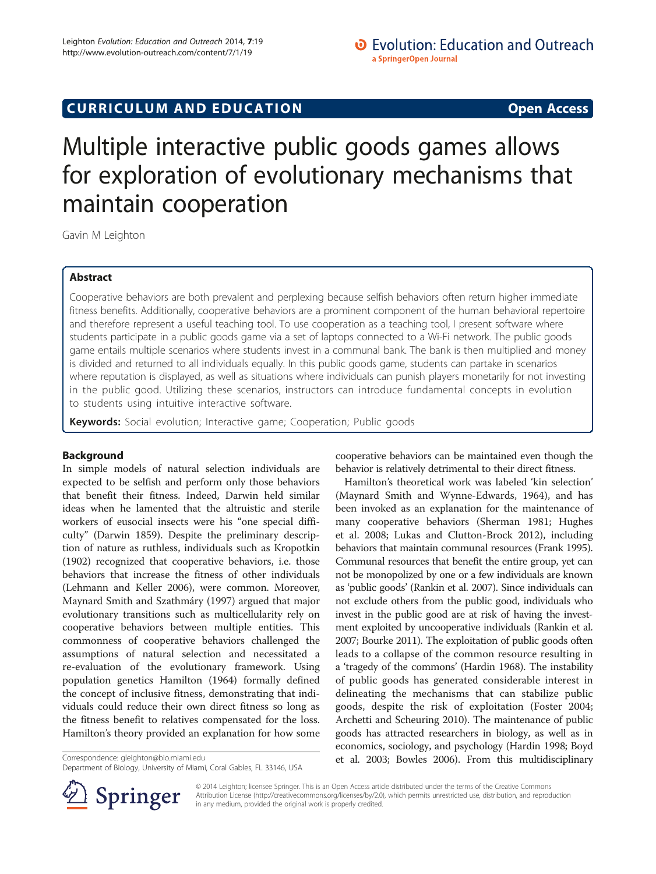# **CURRICULUM AND EDUCATION CURRICULUM AND EDUCATION**

# Multiple interactive public goods games allows for exploration of evolutionary mechanisms that maintain cooperation

Gavin M Leighton

# Abstract

Cooperative behaviors are both prevalent and perplexing because selfish behaviors often return higher immediate fitness benefits. Additionally, cooperative behaviors are a prominent component of the human behavioral repertoire and therefore represent a useful teaching tool. To use cooperation as a teaching tool, I present software where students participate in a public goods game via a set of laptops connected to a Wi-Fi network. The public goods game entails multiple scenarios where students invest in a communal bank. The bank is then multiplied and money is divided and returned to all individuals equally. In this public goods game, students can partake in scenarios where reputation is displayed, as well as situations where individuals can punish players monetarily for not investing in the public good. Utilizing these scenarios, instructors can introduce fundamental concepts in evolution to students using intuitive interactive software.

Keywords: Social evolution; Interactive game; Cooperation; Public goods

# Background

In simple models of natural selection individuals are expected to be selfish and perform only those behaviors that benefit their fitness. Indeed, Darwin held similar ideas when he lamented that the altruistic and sterile workers of eusocial insects were his "one special difficulty" (Darwin [1859\)](#page-5-0). Despite the preliminary description of nature as ruthless, individuals such as Kropotkin ([1902](#page-5-0)) recognized that cooperative behaviors, i.e. those behaviors that increase the fitness of other individuals (Lehmann and Keller [2006\)](#page-6-0), were common. Moreover, Maynard Smith and Szathmáry ([1997\)](#page-6-0) argued that major evolutionary transitions such as multicellularity rely on cooperative behaviors between multiple entities. This commonness of cooperative behaviors challenged the assumptions of natural selection and necessitated a re-evaluation of the evolutionary framework. Using population genetics Hamilton ([1964](#page-5-0)) formally defined the concept of inclusive fitness, demonstrating that individuals could reduce their own direct fitness so long as the fitness benefit to relatives compensated for the loss. Hamilton's theory provided an explanation for how some



Hamilton's theoretical work was labeled 'kin selection' (Maynard Smith and Wynne-Edwards, [1964](#page-6-0)), and has been invoked as an explanation for the maintenance of many cooperative behaviors (Sherman [1981;](#page-6-0) Hughes et al. [2008;](#page-5-0) Lukas and Clutton-Brock [2012](#page-6-0)), including behaviors that maintain communal resources (Frank [1995](#page-5-0)). Communal resources that benefit the entire group, yet can not be monopolized by one or a few individuals are known as 'public goods' (Rankin et al. [2007](#page-6-0)). Since individuals can not exclude others from the public good, individuals who invest in the public good are at risk of having the investment exploited by uncooperative individuals (Rankin et al. [2007;](#page-6-0) Bourke [2011\)](#page-5-0). The exploitation of public goods often leads to a collapse of the common resource resulting in a 'tragedy of the commons' (Hardin [1968](#page-5-0)). The instability of public goods has generated considerable interest in delineating the mechanisms that can stabilize public goods, despite the risk of exploitation (Foster [2004](#page-5-0); Archetti and Scheuring [2010](#page-5-0)). The maintenance of public goods has attracted researchers in biology, as well as in economics, sociology, and psychology (Hardin [1998](#page-5-0); Boyd Correspondence: gleighton@bio.miami.edu et al. [2003;](#page-5-0) Bowles [2006\)](#page-5-0). From this multidisciplinary



© 2014 Leighton; licensee Springer. This is an Open Access article distributed under the terms of the Creative Commons Attribution License [\(http://creativecommons.org/licenses/by/2.0\)](http://creativecommons.org/licenses/by/2.0), which permits unrestricted use, distribution, and reproduction in any medium, provided the original work is properly credited.

Department of Biology, University of Miami, Coral Gables, FL 33146, USA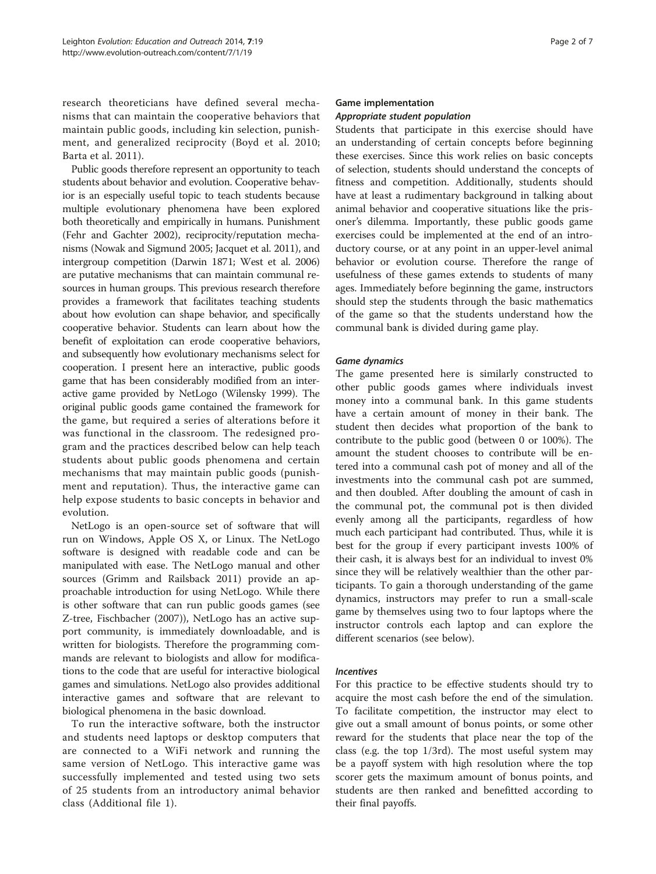research theoreticians have defined several mechanisms that can maintain the cooperative behaviors that maintain public goods, including kin selection, punishment, and generalized reciprocity (Boyd et al. [2010](#page-5-0); Barta et al. [2011](#page-5-0)).

Public goods therefore represent an opportunity to teach students about behavior and evolution. Cooperative behavior is an especially useful topic to teach students because multiple evolutionary phenomena have been explored both theoretically and empirically in humans. Punishment (Fehr and Gachter [2002\)](#page-5-0), reciprocity/reputation mechanisms (Nowak and Sigmund [2005](#page-6-0); Jacquet et al. [2011\)](#page-5-0), and intergroup competition (Darwin [1871;](#page-5-0) West et al. [2006](#page-6-0)) are putative mechanisms that can maintain communal resources in human groups. This previous research therefore provides a framework that facilitates teaching students about how evolution can shape behavior, and specifically cooperative behavior. Students can learn about how the benefit of exploitation can erode cooperative behaviors, and subsequently how evolutionary mechanisms select for cooperation. I present here an interactive, public goods game that has been considerably modified from an interactive game provided by NetLogo (Wilensky [1999](#page-6-0)). The original public goods game contained the framework for the game, but required a series of alterations before it was functional in the classroom. The redesigned program and the practices described below can help teach students about public goods phenomena and certain mechanisms that may maintain public goods (punishment and reputation). Thus, the interactive game can help expose students to basic concepts in behavior and evolution.

NetLogo is an open-source set of software that will run on Windows, Apple OS X, or Linux. The NetLogo software is designed with readable code and can be manipulated with ease. The NetLogo manual and other sources (Grimm and Railsback [2011](#page-5-0)) provide an approachable introduction for using NetLogo. While there is other software that can run public goods games (see Z-tree, Fischbacher [\(2007\)](#page-5-0)), NetLogo has an active support community, is immediately downloadable, and is written for biologists. Therefore the programming commands are relevant to biologists and allow for modifications to the code that are useful for interactive biological games and simulations. NetLogo also provides additional interactive games and software that are relevant to biological phenomena in the basic download.

To run the interactive software, both the instructor and students need laptops or desktop computers that are connected to a WiFi network and running the same version of NetLogo. This interactive game was successfully implemented and tested using two sets of 25 students from an introductory animal behavior class (Additional file [1](#page-5-0)).

# Game implementation

# Appropriate student population

Students that participate in this exercise should have an understanding of certain concepts before beginning these exercises. Since this work relies on basic concepts of selection, students should understand the concepts of fitness and competition. Additionally, students should have at least a rudimentary background in talking about animal behavior and cooperative situations like the prisoner's dilemma. Importantly, these public goods game exercises could be implemented at the end of an introductory course, or at any point in an upper-level animal behavior or evolution course. Therefore the range of usefulness of these games extends to students of many ages. Immediately before beginning the game, instructors should step the students through the basic mathematics of the game so that the students understand how the communal bank is divided during game play.

#### Game dynamics

The game presented here is similarly constructed to other public goods games where individuals invest money into a communal bank. In this game students have a certain amount of money in their bank. The student then decides what proportion of the bank to contribute to the public good (between 0 or 100%). The amount the student chooses to contribute will be entered into a communal cash pot of money and all of the investments into the communal cash pot are summed, and then doubled. After doubling the amount of cash in the communal pot, the communal pot is then divided evenly among all the participants, regardless of how much each participant had contributed. Thus, while it is best for the group if every participant invests 100% of their cash, it is always best for an individual to invest 0% since they will be relatively wealthier than the other participants. To gain a thorough understanding of the game dynamics, instructors may prefer to run a small-scale game by themselves using two to four laptops where the instructor controls each laptop and can explore the different scenarios (see below).

#### Incentives

For this practice to be effective students should try to acquire the most cash before the end of the simulation. To facilitate competition, the instructor may elect to give out a small amount of bonus points, or some other reward for the students that place near the top of the class (e.g. the top 1/3rd). The most useful system may be a payoff system with high resolution where the top scorer gets the maximum amount of bonus points, and students are then ranked and benefitted according to their final payoffs.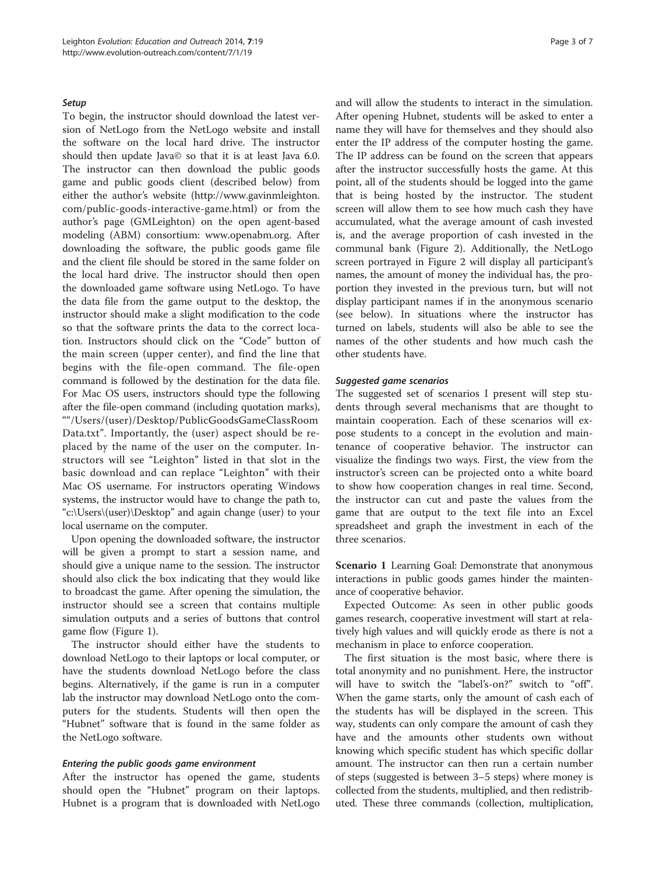#### <span id="page-2-0"></span>Setup

To begin, the instructor should download the latest version of NetLogo from the NetLogo website and install the software on the local hard drive. The instructor should then update Java© so that it is at least Java 6.0. The instructor can then download the public goods game and public goods client (described below) from either the author's website ([http://www.gavinmleighton.](http://www.gavinmleighton.com/public-goods-interactive-game.html) [com/public-goods-interactive-game.html\)](http://www.gavinmleighton.com/public-goods-interactive-game.html) or from the author's page (GMLeighton) on the open agent-based modeling (ABM) consortium: [www.openabm.org.](http://www.openabm.org) After downloading the software, the public goods game file and the client file should be stored in the same folder on the local hard drive. The instructor should then open the downloaded game software using NetLogo. To have the data file from the game output to the desktop, the instructor should make a slight modification to the code so that the software prints the data to the correct location. Instructors should click on the "Code" button of the main screen (upper center), and find the line that begins with the file-open command. The file-open command is followed by the destination for the data file. For Mac OS users, instructors should type the following after the file-open command (including quotation marks), ""/Users/(user)/Desktop/PublicGoodsGameClassRoom Data.txt". Importantly, the (user) aspect should be replaced by the name of the user on the computer. Instructors will see "Leighton" listed in that slot in the basic download and can replace "Leighton" with their Mac OS username. For instructors operating Windows systems, the instructor would have to change the path to, "c:\Users\(user)\Desktop" and again change (user) to your local username on the computer.

Upon opening the downloaded software, the instructor will be given a prompt to start a session name, and should give a unique name to the session. The instructor should also click the box indicating that they would like to broadcast the game. After opening the simulation, the instructor should see a screen that contains multiple simulation outputs and a series of buttons that control game flow (Figure [1](#page-3-0)).

The instructor should either have the students to download NetLogo to their laptops or local computer, or have the students download NetLogo before the class begins. Alternatively, if the game is run in a computer lab the instructor may download NetLogo onto the computers for the students. Students will then open the "Hubnet" software that is found in the same folder as the NetLogo software.

#### Entering the public goods game environment

After the instructor has opened the game, students should open the "Hubnet" program on their laptops. Hubnet is a program that is downloaded with NetLogo and will allow the students to interact in the simulation. After opening Hubnet, students will be asked to enter a name they will have for themselves and they should also enter the IP address of the computer hosting the game. The IP address can be found on the screen that appears after the instructor successfully hosts the game. At this point, all of the students should be logged into the game that is being hosted by the instructor. The student screen will allow them to see how much cash they have accumulated, what the average amount of cash invested is, and the average proportion of cash invested in the communal bank (Figure [2](#page-4-0)). Additionally, the NetLogo screen portrayed in Figure [2](#page-4-0) will display all participant's names, the amount of money the individual has, the proportion they invested in the previous turn, but will not display participant names if in the anonymous scenario (see below). In situations where the instructor has turned on labels, students will also be able to see the names of the other students and how much cash the other students have.

#### Suggested game scenarios

The suggested set of scenarios I present will step students through several mechanisms that are thought to maintain cooperation. Each of these scenarios will expose students to a concept in the evolution and maintenance of cooperative behavior. The instructor can visualize the findings two ways. First, the view from the instructor's screen can be projected onto a white board to show how cooperation changes in real time. Second, the instructor can cut and paste the values from the game that are output to the text file into an Excel spreadsheet and graph the investment in each of the three scenarios.

Scenario 1 Learning Goal: Demonstrate that anonymous interactions in public goods games hinder the maintenance of cooperative behavior.

Expected Outcome: As seen in other public goods games research, cooperative investment will start at relatively high values and will quickly erode as there is not a mechanism in place to enforce cooperation.

The first situation is the most basic, where there is total anonymity and no punishment. Here, the instructor will have to switch the "label's-on?" switch to "off". When the game starts, only the amount of cash each of the students has will be displayed in the screen. This way, students can only compare the amount of cash they have and the amounts other students own without knowing which specific student has which specific dollar amount. The instructor can then run a certain number of steps (suggested is between 3–5 steps) where money is collected from the students, multiplied, and then redistributed. These three commands (collection, multiplication,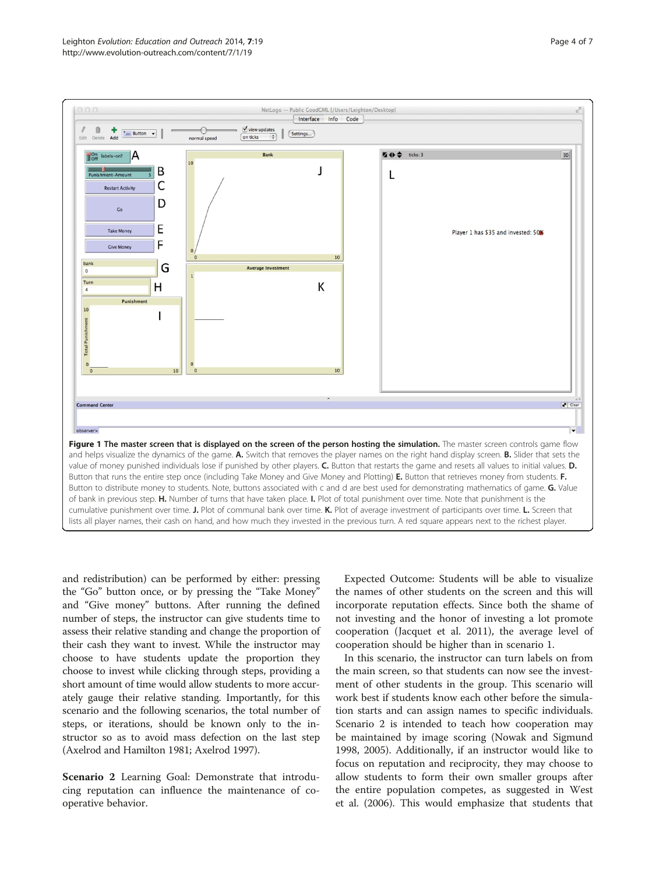<span id="page-3-0"></span>

and redistribution) can be performed by either: pressing the "Go" button once, or by pressing the "Take Money" and "Give money" buttons. After running the defined number of steps, the instructor can give students time to assess their relative standing and change the proportion of their cash they want to invest. While the instructor may choose to have students update the proportion they choose to invest while clicking through steps, providing a short amount of time would allow students to more accurately gauge their relative standing. Importantly, for this scenario and the following scenarios, the total number of steps, or iterations, should be known only to the instructor so as to avoid mass defection on the last step (Axelrod and Hamilton [1981](#page-5-0); Axelrod [1997\)](#page-5-0).

Scenario 2 Learning Goal: Demonstrate that introducing reputation can influence the maintenance of cooperative behavior.

Expected Outcome: Students will be able to visualize the names of other students on the screen and this will incorporate reputation effects. Since both the shame of not investing and the honor of investing a lot promote cooperation (Jacquet et al. [2011](#page-5-0)), the average level of cooperation should be higher than in scenario 1.

In this scenario, the instructor can turn labels on from the main screen, so that students can now see the investment of other students in the group. This scenario will work best if students know each other before the simulation starts and can assign names to specific individuals. Scenario 2 is intended to teach how cooperation may be maintained by image scoring (Nowak and Sigmund [1998](#page-6-0), [2005](#page-6-0)). Additionally, if an instructor would like to focus on reputation and reciprocity, they may choose to allow students to form their own smaller groups after the entire population competes, as suggested in West et al. ([2006](#page-6-0)). This would emphasize that students that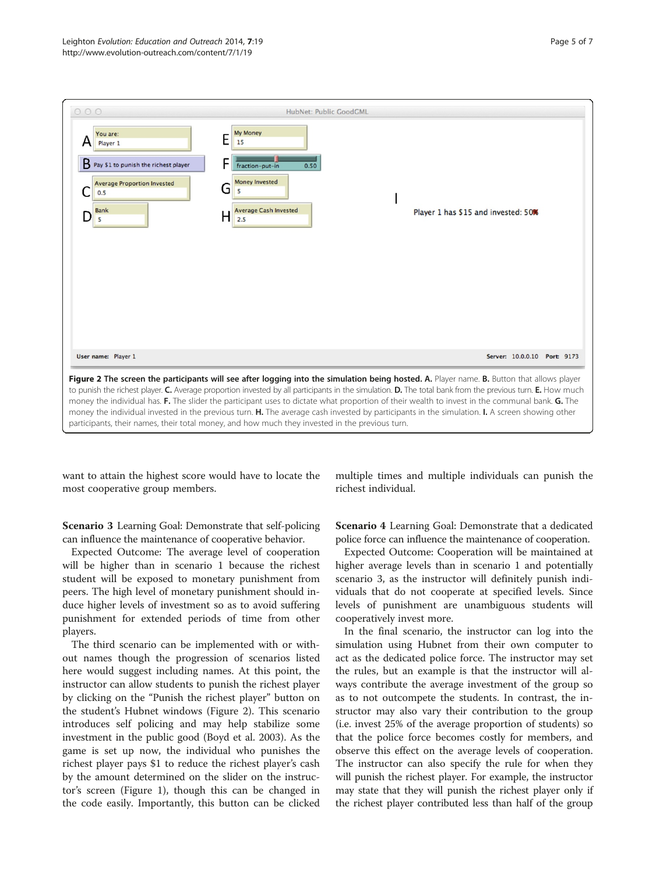<span id="page-4-0"></span>

want to attain the highest score would have to locate the most cooperative group members.

multiple times and multiple individuals can punish the richest individual.

Scenario 3 Learning Goal: Demonstrate that self-policing can influence the maintenance of cooperative behavior.

Expected Outcome: The average level of cooperation will be higher than in scenario 1 because the richest student will be exposed to monetary punishment from peers. The high level of monetary punishment should induce higher levels of investment so as to avoid suffering punishment for extended periods of time from other players.

The third scenario can be implemented with or without names though the progression of scenarios listed here would suggest including names. At this point, the instructor can allow students to punish the richest player by clicking on the "Punish the richest player" button on the student's Hubnet windows (Figure 2). This scenario introduces self policing and may help stabilize some investment in the public good (Boyd et al. [2003\)](#page-5-0). As the game is set up now, the individual who punishes the richest player pays \$1 to reduce the richest player's cash by the amount determined on the slider on the instructor's screen (Figure [1\)](#page-3-0), though this can be changed in the code easily. Importantly, this button can be clicked

Scenario 4 Learning Goal: Demonstrate that a dedicated police force can influence the maintenance of cooperation.

Expected Outcome: Cooperation will be maintained at higher average levels than in scenario 1 and potentially scenario 3, as the instructor will definitely punish individuals that do not cooperate at specified levels. Since levels of punishment are unambiguous students will cooperatively invest more.

In the final scenario, the instructor can log into the simulation using Hubnet from their own computer to act as the dedicated police force. The instructor may set the rules, but an example is that the instructor will always contribute the average investment of the group so as to not outcompete the students. In contrast, the instructor may also vary their contribution to the group (i.e. invest 25% of the average proportion of students) so that the police force becomes costly for members, and observe this effect on the average levels of cooperation. The instructor can also specify the rule for when they will punish the richest player. For example, the instructor may state that they will punish the richest player only if the richest player contributed less than half of the group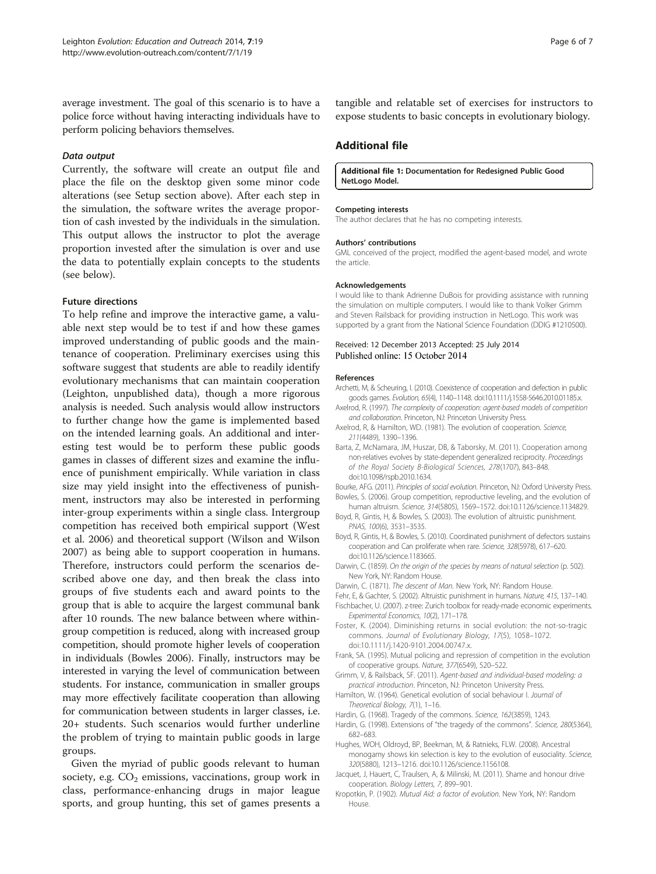<span id="page-5-0"></span>average investment. The goal of this scenario is to have a police force without having interacting individuals have to perform policing behaviors themselves.

#### Data output

Currently, the software will create an output file and place the file on the desktop given some minor code alterations (see [Setup](#page-2-0) section above). After each step in the simulation, the software writes the average proportion of cash invested by the individuals in the simulation. This output allows the instructor to plot the average proportion invested after the simulation is over and use the data to potentially explain concepts to the students (see below).

#### Future directions

To help refine and improve the interactive game, a valuable next step would be to test if and how these games improved understanding of public goods and the maintenance of cooperation. Preliminary exercises using this software suggest that students are able to readily identify evolutionary mechanisms that can maintain cooperation (Leighton, unpublished data), though a more rigorous analysis is needed. Such analysis would allow instructors to further change how the game is implemented based on the intended learning goals. An additional and interesting test would be to perform these public goods games in classes of different sizes and examine the influence of punishment empirically. While variation in class size may yield insight into the effectiveness of punishment, instructors may also be interested in performing inter-group experiments within a single class. Intergroup competition has received both empirical support (West et al. [2006\)](#page-6-0) and theoretical support (Wilson and Wilson [2007](#page-6-0)) as being able to support cooperation in humans. Therefore, instructors could perform the scenarios described above one day, and then break the class into groups of five students each and award points to the group that is able to acquire the largest communal bank after 10 rounds. The new balance between where withingroup competition is reduced, along with increased group competition, should promote higher levels of cooperation in individuals (Bowles 2006). Finally, instructors may be interested in varying the level of communication between students. For instance, communication in smaller groups may more effectively facilitate cooperation than allowing for communication between students in larger classes, i.e. 20+ students. Such scenarios would further underline the problem of trying to maintain public goods in large groups.

Given the myriad of public goods relevant to human society, e.g.  $CO<sub>2</sub>$  emissions, vaccinations, group work in class, performance-enhancing drugs in major league sports, and group hunting, this set of games presents a tangible and relatable set of exercises for instructors to expose students to basic concepts in evolutionary biology.

### Additional file

#### [Additional file 1:](http://www.evolution-outreach.com/content/supplementary/s12052-014-0019-y-S1.docx) Documentation for Redesigned Public Good NetLogo Model.

#### Competing interests

The author declares that he has no competing interests.

#### Authors' contributions

GML conceived of the project, modified the agent-based model, and wrote the article.

#### Acknowledgements

I would like to thank Adrienne DuBois for providing assistance with running the simulation on multiple computers. I would like to thank Volker Grimm and Steven Railsback for providing instruction in NetLogo. This work was supported by a grant from the National Science Foundation (DDIG #1210500).

#### Received: 12 December 2013 Accepted: 25 July 2014 Published online: 15 October 2014

#### References

- Archetti, M, & Scheuring, I. (2010). Coexistence of cooperation and defection in public goods games. Evolution, 65(4), 1140–1148. doi:10.1111/j.1558-5646.2010.01185.x.
- Axelrod, R. (1997). The complexity of cooperation: agent-based models of competition and collaboration. Princeton, NJ: Princeton University Press.
- Axelrod, R, & Hamilton, WD. (1981). The evolution of cooperation. Science, 211(4489), 1390–1396.
- Barta, Z, McNamara, JM, Huszar, DB, & Taborsky, M. (2011). Cooperation among non-relatives evolves by state-dependent generalized reciprocity. Proceedings of the Royal Society B-Biological Sciences, 278(1707), 843–848. doi:10.1098/rspb.2010.1634.
- Bourke, AFG. (2011). Principles of social evolution. Princeton, NJ: Oxford University Press. Bowles, S. (2006). Group competition, reproductive leveling, and the evolution of
- human altruism. Science, 314(5805), 1569–1572. doi:10.1126/science.1134829. Boyd, R, Gintis, H, & Bowles, S. (2003). The evolution of altruistic punishment.
- PNAS, 100(6), 3531–3535. Boyd, R, Gintis, H, & Bowles, S. (2010). Coordinated punishment of defectors sustains cooperation and Can proliferate when rare. Science, 328(5978), 617–620.
- doi:10.1126/science.1183665. Darwin, C. (1859). On the origin of the species by means of natural selection (p. 502). New York, NY: Random House.

Darwin, C. (1871). The descent of Man. New York, NY: Random House.

- Fehr, E, & Gachter, S. (2002). Altruistic punishment in humans. Nature, 415, 137–140.
- Fischbacher, U. (2007). z-tree: Zurich toolbox for ready-made economic experiments. Experimental Economics, 10(2), 171–178.
- Foster, K. (2004). Diminishing returns in social evolution: the not-so-tragic commons. Journal of Evolutionary Biology, 17(5), 1058–1072. doi:10.1111/j.1420-9101.2004.00747.x.
- Frank, SA. (1995). Mutual policing and repression of competition in the evolution of cooperative groups. Nature, 377(6549), 520–522.
- Grimm, V, & Railsback, SF. (2011). Agent-based and individual-based modeling: a practical introduction. Princeton, NJ: Princeton University Press.
- Hamilton, W. (1964). Genetical evolution of social behaviour I. Journal of Theoretical Biology, 7(1), 1–16.
- Hardin, G. (1968). Tragedy of the commons. Science, 162(3859), 1243.
- Hardin, G. (1998). Extensions of "the tragedy of the commons". Science, 280(5364), 682–683.
- Hughes, WOH, Oldroyd, BP, Beekman, M, & Ratnieks, FLW. (2008). Ancestral monogamy shows kin selection is key to the evolution of eusociality. Science, 320(5880), 1213–1216. doi:10.1126/science.1156108.
- Jacquet, J, Hauert, C, Traulsen, A, & Milinski, M. (2011). Shame and honour drive cooperation. Biology Letters, 7, 899–901.
- Kropotkin, P. (1902). Mutual Aid: a factor of evolution. New York, NY: Random House.